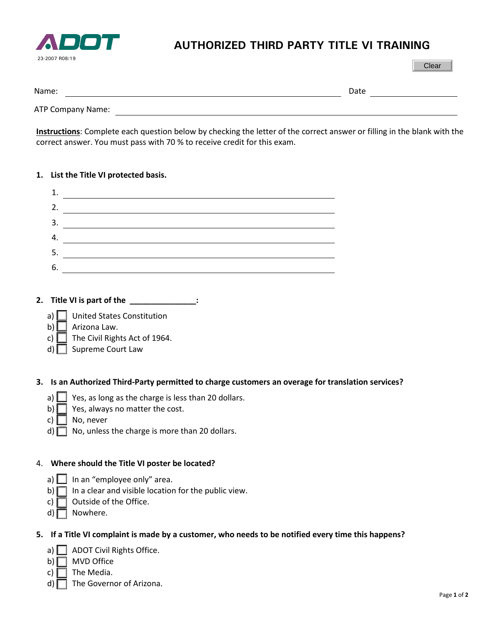

## **AUTHORIZED THIRD PARTY TITLE VI TRAINING**

| Name:             | Date |
|-------------------|------|
| ATP Company Name: |      |

**Instructions**: Complete each question below by checking the letter of the correct answer or filling in the blank with the correct answer. You must pass with 70 % to receive credit for this exam.

## **1. List the Title VI protected basis.**

| 1. |  |
|----|--|
| 2. |  |
| 3. |  |
| 4. |  |
| 5. |  |
| 6. |  |
|    |  |

- **2. Title VI is part of the \_\_\_\_\_\_\_\_\_\_\_\_\_\_\_:**
	- a) United States Constitution
	- b)  $\Box$  Arizona Law.
	- c)  $\Box$  The Civil Rights Act of 1964.
	- d) Supreme Court Law

**3. Is an Authorized Third-Party permitted to charge customers an overage for translation services?**

- a)  $\Box$  Yes, as long as the charge is less than 20 dollars.
- b)  $\Box$  Yes, always no matter the cost.
- c)  $\Box$  No, never
- $d)$  No, unless the charge is more than 20 dollars.

## 4. **Where should the Title VI poster be located?**

- a)  $\Box$  In an "employee only" area.
- b)  $\Box$  In a clear and visible location for the public view.
- c)  $\Box$  Outside of the Office.
- d)  $\Box$  Nowhere.

## **5. If a Title VI complaint is made by a customer, who needs to be notified every time this happens?**

- a)  $\Box$  ADOT Civil Rights Office.
- $b)$  MVD Office
- c)  $\Box$  The Media.
- d)  $\Box$  The Governor of Arizona.

Clear